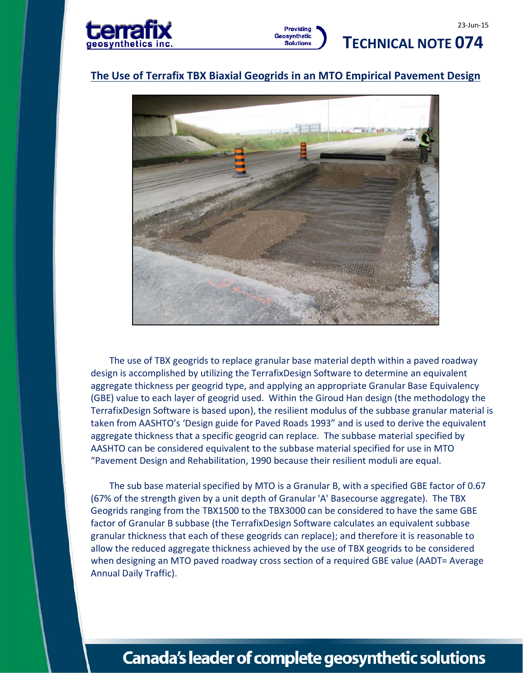

### **The Use of Terrafix TBX Biaxial Geogrids in an MTO Empirical Pavement Design**



The use of TBX geogrids to replace granular base material depth within a paved roadway design is accomplished by utilizing the TerrafixDesign Software to determine an equivalent aggregate thickness per geogrid type, and applying an appropriate Granular Base Equivalency (GBE) value to each layer of geogrid used. Within the Giroud Han design (the methodology the TerrafixDesign Software is based upon), the resilient modulus of the subbase granular material is taken from AASHTO's 'Design guide for Paved Roads 1993" and is used to derive the equivalent aggregate thickness that a specific geogrid can replace. The subbase material specified by AASHTO can be considered equivalent to the subbase material specified for use in MTO "Pavement Design and Rehabilitation, 1990 because their resilient moduli are equal.

The sub base material specified by MTO is a Granular B, with a specified GBE factor of 0.67 (67% of the strength given by a unit depth of Granular 'A' Basecourse aggregate). The TBX Geogrids ranging from the TBX1500 to the TBX3000 can be considered to have the same GBE factor of Granular B subbase (the TerrafixDesign Software calculates an equivalent subbase granular thickness that each of these geogrids can replace); and therefore it is reasonable to allow the reduced aggregate thickness achieved by the use of TBX geogrids to be considered when designing an MTO paved roadway cross section of a required GBE value (AADT= Average Annual Daily Traffic).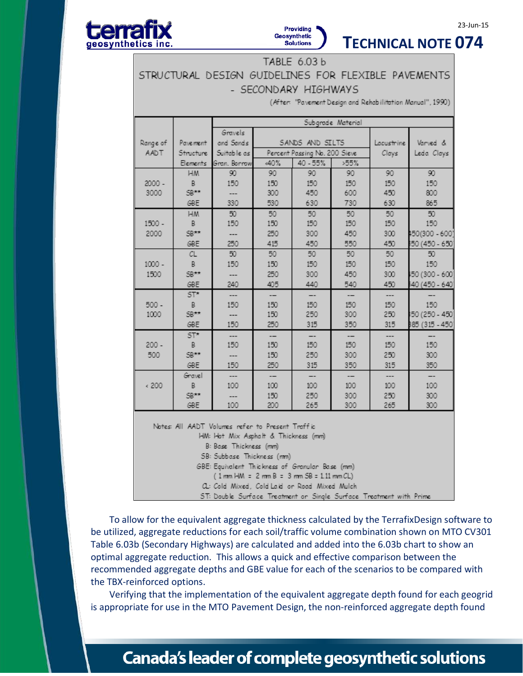

### **TECHNICAL NOTE 074**

23-Jun-15

TABLE 6.03 b STRUCTURAL DESIGN GUIDELINES FOR FLEXIBLE PAVEMENTS - SECONDARY HIGHWAYS

(After: "Pavement Design and Rehabilitation Manual", 1990)

|                                                                                     |            | Subgrade Material |                               |          |      |            |                 |
|-------------------------------------------------------------------------------------|------------|-------------------|-------------------------------|----------|------|------------|-----------------|
|                                                                                     |            | Gravels           |                               |          |      |            |                 |
| Range of                                                                            | Pave ment  | and Sands         | SANDS AND SILTS               |          |      | Lacustrine | Varved &        |
| AADT                                                                                | Structure  | Suitable as       | Percent Passing No. 200 Sieve |          |      | Clays      | Leda Clays      |
|                                                                                     | Elements   | Gran. Borrow      | .40%                          | 40 - 55% | >55% |            |                 |
|                                                                                     | <b>HM</b>  | 90                | 90                            | 90       | 90   | 90         | 90              |
| 2000 -                                                                              | B.         | 150               | 150                           | 150      | 150  | 150        | 150             |
| 3000                                                                                | 5B**       | ---               | 300                           | 450      | 600  | 450        | 800             |
|                                                                                     | GBE        | 330               | 530                           | 630      | 730  | 630        | 865             |
|                                                                                     | <b>HM</b>  | 50                | 50                            | 50       | 50   | 50         | 50              |
| $1500 -$                                                                            | B.         | 150               | 150                           | 150      | 150  | 150        | 150             |
| 2000                                                                                | 5B**       |                   | 250                           | 300      | 450  | 300        | 150(300 - 600)  |
|                                                                                     | GBE        | 250               | 415                           | 450      | 550  | 450        | 50 (450 - 650)  |
|                                                                                     | CL.        | 50 <sub>2</sub>   | 50                            | 50       | 50   | 50         | 50              |
| $1000 -$                                                                            | B.         | 150               | 150                           | 150      | 150  | 150        | 150             |
| 1500                                                                                | 5B**       |                   | 250                           | 300      | 450  | 300        | 50 (300 - 600)  |
|                                                                                     | GBE        | 240               | 405                           | 440      | 540  | 450        | 40 (450 - 640)  |
|                                                                                     | $ST*$      | ---               | --                            | --       | --   | ---        | <b>--</b>       |
| $500 -$                                                                             | В          | 150               | 150                           | 150      | 150  | 150        | 150             |
| 1000                                                                                | 5B**       | ---               | 150                           | 250      | 300  | 250        | :50 (250 - 450) |
|                                                                                     | GBE        | 150               | 250                           | 315      | 350  | 315        | 85 (315 - 450)  |
|                                                                                     | $ST^*$     | ---               | --                            |          | --   |            |                 |
| $200 -$                                                                             | B          | 150               | 150                           | 150      | 150  | 150        | 150             |
| 500                                                                                 | 5B**       |                   | 150                           | 250      | 300  | 250        | 300             |
|                                                                                     | GBE        | 150               | 250                           | 315      | 350  | 315        | 350             |
|                                                                                     | Gravel     |                   | --                            | --       | --   | ---        | <b>--</b>       |
| 4200                                                                                | B          | 100               | 100                           | 100      | 100  | 100        | 100             |
|                                                                                     | 5B**       |                   | 150                           | 250      | 300  | 250        | 300             |
|                                                                                     | <b>GBE</b> | 100               | 200                           | 265      | 300  | 265        | 300             |
| Notes: All AADT Volumes refer to Present Traffic                                    |            |                   |                               |          |      |            |                 |
| HM: Hot Mix Asphalt & Thickness (mm)                                                |            |                   |                               |          |      |            |                 |
| B: Base Thickness (mm)                                                              |            |                   |                               |          |      |            |                 |
| SB: Subbase Thickness (mm)                                                          |            |                   |                               |          |      |            |                 |
| GBE: Equivalent Thickness of Granular Base (mm)                                     |            |                   |                               |          |      |            |                 |
| $(1 \text{ mm H} \text{M} = 2 \text{ mm B} = 3 \text{ mm SB} = 1.11 \text{ mm CL})$ |            |                   |                               |          |      |            |                 |
| a: Cold Mixed, Cold Laid or Road Mixed Mulch                                        |            |                   |                               |          |      |            |                 |
| ST: Double Surface Treatment on Single Surface Treatment with Prime.                |            |                   |                               |          |      |            |                 |

To allow for the equivalent aggregate thickness calculated by the TerrafixDesign software to be utilized, aggregate reductions for each soil/traffic volume combination shown on MTO CV301 Table 6.03b (Secondary Highways) are calculated and added into the 6.03b chart to show an optimal aggregate reduction. This allows a quick and effective comparison between the recommended aggregate depths and GBE value for each of the scenarios to be compared with the TBX-reinforced options.

Verifying that the implementation of the equivalent aggregate depth found for each geogrid is appropriate for use in the MTO Pavement Design, the non-reinforced aggregate depth found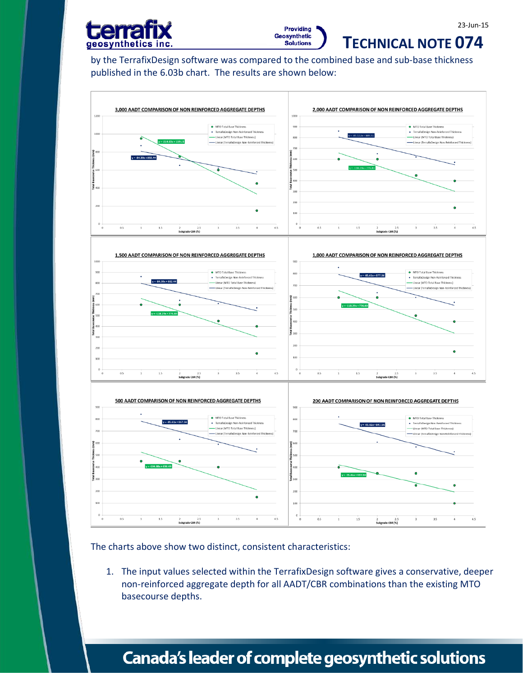



23-Jun-15

by the TerrafixDesign software was compared to the combined base and sub-base thickness published in the 6.03b chart. The results are shown below:



The charts above show two distinct, consistent characteristics:

1. The input values selected within the TerrafixDesign software gives a conservative, deeper non-reinforced aggregate depth for all AADT/CBR combinations than the existing MTO basecourse depths.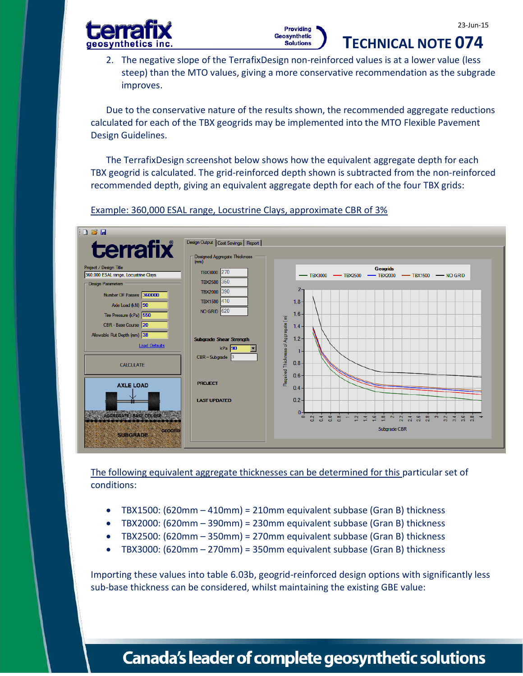**TECHNICAL NOTE 074** 





2. The negative slope of the TerrafixDesign non-reinforced values is at a lower value (less steep) than the MTO values, giving a more conservative recommendation as the subgrade improves.

Due to the conservative nature of the results shown, the recommended aggregate reductions calculated for each of the TBX geogrids may be implemented into the MTO Flexible Pavement Design Guidelines.

The TerrafixDesign screenshot below shows how the equivalent aggregate depth for each TBX geogrid is calculated. The grid-reinforced depth shown is subtracted from the non-reinforced recommended depth, giving an equivalent aggregate depth for each of the four TBX grids:



Example: 360,000 ESAL range, Locustrine Clays, approximate CBR of 3%

The following equivalent aggregate thicknesses can be determined for this particular set of conditions:

- TBX1500: (620mm 410mm) = 210mm equivalent subbase (Gran B) thickness
- TBX2000: (620mm 390mm) = 230mm equivalent subbase (Gran B) thickness
- TBX2500: (620mm 350mm) = 270mm equivalent subbase (Gran B) thickness
- TBX3000: (620mm 270mm) = 350mm equivalent subbase (Gran B) thickness

Importing these values into table 6.03b, geogrid-reinforced design options with significantly less sub-base thickness can be considered, whilst maintaining the existing GBE value: